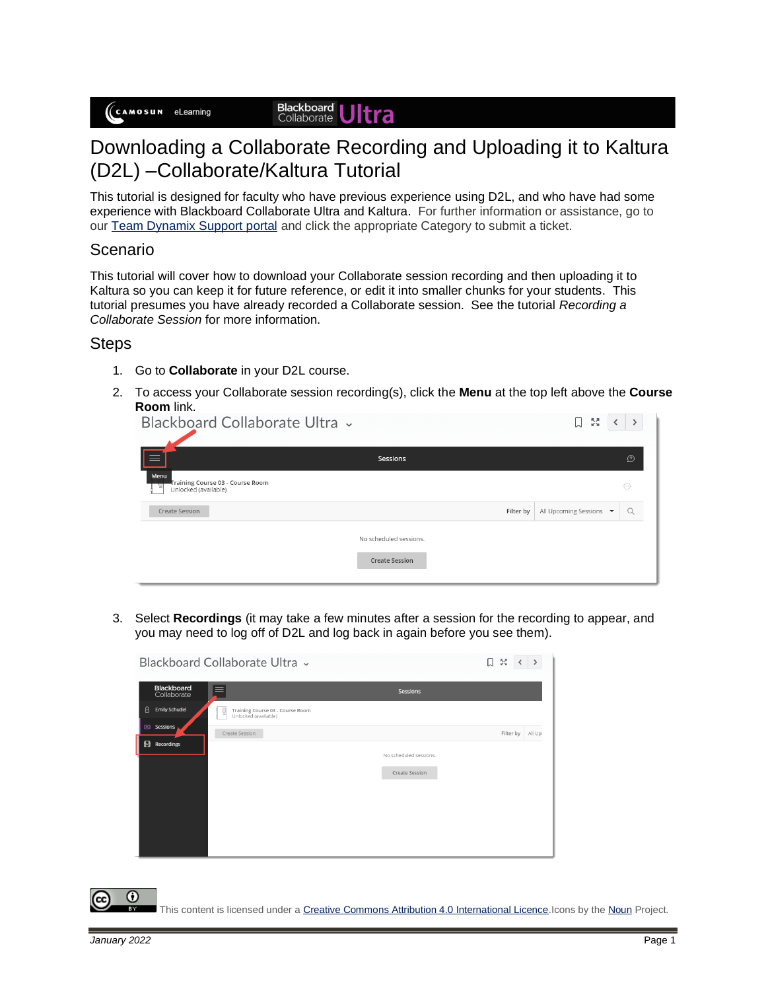#### **Blackboard**<br>Collaborate **Itra**

# Downloading a Collaborate Recording and Uploading it to Kaltura (D2L) –Collaborate/Kaltura Tutorial

This tutorial is designed for faculty who have previous experience using D2L, and who have had some experience with Blackboard Collaborate Ultra and Kaltura. For further information or assistance, go to our [Team Dynamix Support portal](https://camosun.teamdynamix.com/TDClient/67/Portal/Requests/ServiceCatalog?CategoryID=523) and click the appropriate Category to submit a ticket.

### Scenario

This tutorial will cover how to download your Collaborate session recording and then uploading it to Kaltura so you can keep it for future reference, or edit it into smaller chunks for your students. This tutorial presumes you have already recorded a Collaborate session. See the tutorial *Recording a Collaborate Session* for more information.

### **Steps**

- 1. Go to **Collaborate** in your D2L course.
- 2. To access your Collaborate session recording(s), click the **Menu** at the top left above the **Course Room** link.

| Blackboard Collaborate Ultra ~                                        |                        |           | 5g<br>IJ                                    |          |
|-----------------------------------------------------------------------|------------------------|-----------|---------------------------------------------|----------|
| $\equiv$                                                              | Sessions               |           |                                             | $\Omega$ |
| Menu<br>Training Course 03 - Course Room<br>킈<br>Unlocked (available) |                        |           |                                             | $\odot$  |
| Create Session                                                        |                        | Filter by | All Upcoming Sessions $\blacktriangleright$ | Q        |
|                                                                       | No scheduled sessions. |           |                                             |          |
|                                                                       | <b>Create Session</b>  |           |                                             |          |
|                                                                       |                        |           |                                             |          |

3. Select **Recordings** (it may take a few minutes after a session for the recording to appear, and you may need to log off of D2L and log back in again before you see them).

|                                  | Blackboard Collaborate Ultra v                                |                        | 5g<br>IJ  | $\rightarrow$ |
|----------------------------------|---------------------------------------------------------------|------------------------|-----------|---------------|
| <b>Blackboard</b><br>Collaborate | $\equiv$                                                      | <b>Sessions</b>        |           |               |
| 8<br><b>Emily Schudel</b>        | Training Course 03 - Course Room<br>Unlocked (available)<br>ы |                        |           |               |
| Sessions<br>ශ                    | Create Session                                                |                        | Filter by | All Upr       |
| H<br>Recordings                  |                                                               | No scheduled sessions. |           |               |
|                                  |                                                               |                        |           |               |
|                                  |                                                               | <b>Create Session</b>  |           |               |
|                                  |                                                               |                        |           |               |
|                                  |                                                               |                        |           |               |
|                                  |                                                               |                        |           |               |
|                                  |                                                               |                        |           |               |
|                                  |                                                               |                        |           |               |